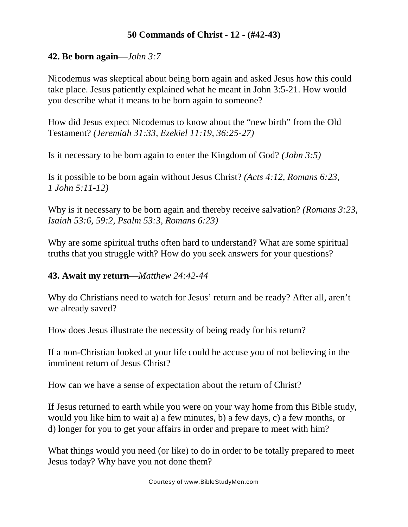## **50 Commands of Christ - 12 - (#42-43)**

## **42. Be born again**—*John 3:7*

Nicodemus was skeptical about being born again and asked Jesus how this could take place. Jesus patiently explained what he meant in John 3:5-21. How would you describe what it means to be born again to someone?

How did Jesus expect Nicodemus to know about the "new birth" from the Old Testament? *(Jeremiah 31:33, Ezekiel 11:19, 36:25-27)*

Is it necessary to be born again to enter the Kingdom of God? *(John 3:5)*

Is it possible to be born again without Jesus Christ? *(Acts 4:12, Romans 6:23, 1 John 5:11-12)*

Why is it necessary to be born again and thereby receive salvation? *(Romans 3:23, Isaiah 53:6, 59:2, Psalm 53:3, Romans 6:23)*

Why are some spiritual truths often hard to understand? What are some spiritual truths that you struggle with? How do you seek answers for your questions?

## **43. Await my return**—*Matthew 24:42-44*

Why do Christians need to watch for Jesus' return and be ready? After all, aren't we already saved?

How does Jesus illustrate the necessity of being ready for his return?

If a non-Christian looked at your life could he accuse you of not believing in the imminent return of Jesus Christ?

How can we have a sense of expectation about the return of Christ?

If Jesus returned to earth while you were on your way home from this Bible study, would you like him to wait a) a few minutes, b) a few days, c) a few months, or d) longer for you to get your affairs in order and prepare to meet with him?

What things would you need (or like) to do in order to be totally prepared to meet Jesus today? Why have you not done them?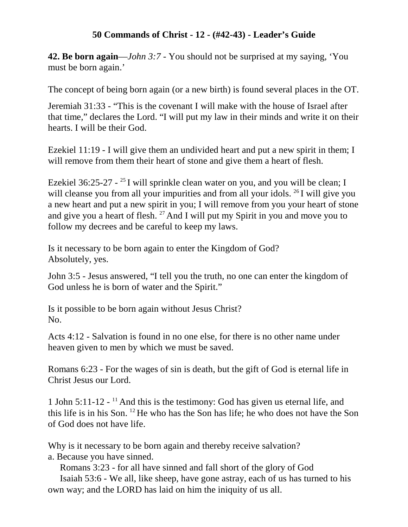## **50 Commands of Christ - 12 - (#42-43) - Leader's Guide**

**42. Be born again**—*John 3:7* - You should not be surprised at my saying, 'You must be born again.'

The concept of being born again (or a new birth) is found several places in the OT.

Jeremiah 31:33 - "This is the covenant I will make with the house of Israel after that time," declares the Lord. "I will put my law in their minds and write it on their hearts. I will be their God.

Ezekiel 11:19 - I will give them an undivided heart and put a new spirit in them; I will remove from them their heart of stone and give them a heart of flesh.

Ezekiel 36:25-27 -  $^{25}$  I will sprinkle clean water on you, and you will be clean; I will cleanse you from all your impurities and from all your idols.  $^{26}$  I will give you a new heart and put a new spirit in you; I will remove from you your heart of stone and give you a heart of flesh.  $27$  And I will put my Spirit in you and move you to follow my decrees and be careful to keep my laws.

Is it necessary to be born again to enter the Kingdom of God? Absolutely, yes.

John 3:5 - Jesus answered, "I tell you the truth, no one can enter the kingdom of God unless he is born of water and the Spirit."

Is it possible to be born again without Jesus Christ? No.

Acts 4:12 - Salvation is found in no one else, for there is no other name under heaven given to men by which we must be saved.

Romans 6:23 - For the wages of sin is death, but the gift of God is eternal life in Christ Jesus our Lord.

1 John 5:11-12 -  $<sup>11</sup>$  And this is the testimony: God has given us eternal life, and</sup> this life is in his Son.  $12$  He who has the Son has life; he who does not have the Son of God does not have life.

Why is it necessary to be born again and thereby receive salvation? a. Because you have sinned.

Romans 3:23 - for all have sinned and fall short of the glory of God

Isaiah 53:6 - We all, like sheep, have gone astray, each of us has turned to his own way; and the LORD has laid on him the iniquity of us all.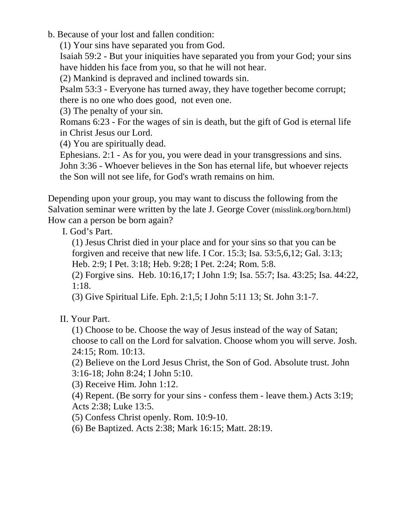b. Because of your lost and fallen condition:

(1) Your sins have separated you from God.

Isaiah 59:2 - But your iniquities have separated you from your God; your sins have hidden his face from you, so that he will not hear.

(2) Mankind is depraved and inclined towards sin.

Psalm 53:3 - Everyone has turned away, they have together become corrupt; there is no one who does good, not even one.

(3) The penalty of your sin.

Romans 6:23 - For the wages of sin is death, but the gift of God is eternal life in Christ Jesus our Lord.

(4) You are spiritually dead.

Ephesians. 2:1 - As for you, you were dead in your transgressions and sins. John 3:36 - Whoever believes in the Son has eternal life, but whoever rejects the Son will not see life, for God's wrath remains on him.

Depending upon your group, you may want to discuss the following from the Salvation seminar were written by the late J. George Cover (misslink.org/born.html) How can a person be born again?

I. God's Part.

(1) Jesus Christ died in your place and for your sins so that you can be forgiven and receive that new life. I Cor. 15:3; Isa. 53:5,6,12; Gal. 3:13; Heb. 2:9; I Pet. 3:18; Heb. 9:28; I Pet. 2:24; Rom. 5:8.

(2) Forgive sins. Heb. 10:16,17; I John 1:9; Isa. 55:7; Isa. 43:25; Isa. 44:22, 1:18.

(3) Give Spiritual Life. Eph. 2:1,5; I John 5:11 13; St. John 3:1-7.

II. Your Part.

(1) Choose to be. Choose the way of Jesus instead of the way of Satan; choose to call on the Lord for salvation. Choose whom you will serve. Josh. 24:15; Rom. 10:13.

(2) Believe on the Lord Jesus Christ, the Son of God. Absolute trust. John 3:16-18; John 8:24; I John 5:10.

(3) Receive Him. John 1:12.

(4) Repent. (Be sorry for your sins - confess them - leave them.) Acts 3:19; Acts 2:38; Luke 13:5.

(5) Confess Christ openly. Rom. 10:9-10.

(6) Be Baptized. Acts 2:38; Mark 16:15; Matt. 28:19.